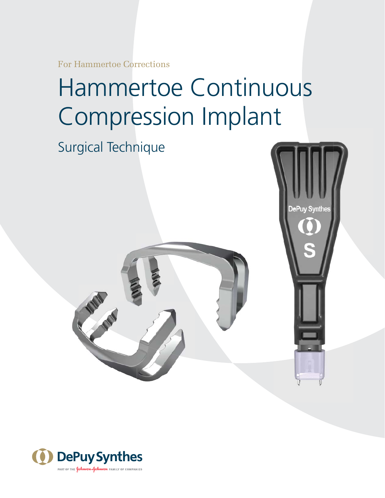For Hammertoe Corrections

# Hammertoe Continuous Compression Implant

DePuv Svnthe

# Surgical Technique



ANU -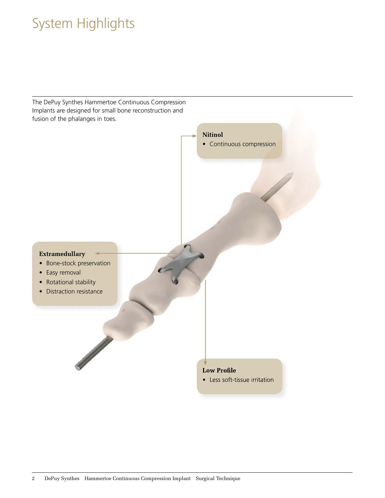# System Highlights

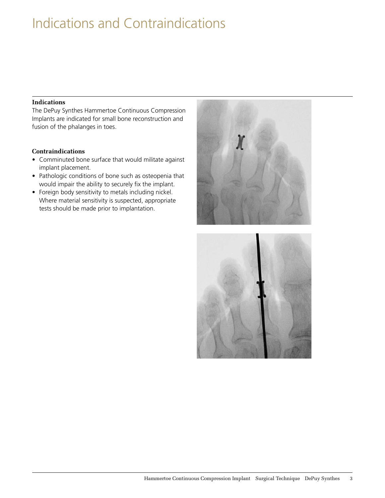### Indications and Contraindications

#### **Indications**

The DePuy Synthes Hammertoe Continuous Compression Implants are indicated for small bone reconstruction and fusion of the phalanges in toes.

#### **Contraindications**

- Comminuted bone surface that would militate against implant placement.
- Pathologic conditions of bone such as osteopenia that would impair the ability to securely fix the implant.
- Foreign body sensitivity to metals including nickel. Where material sensitivity is suspected, appropriate tests should be made prior to implantation.



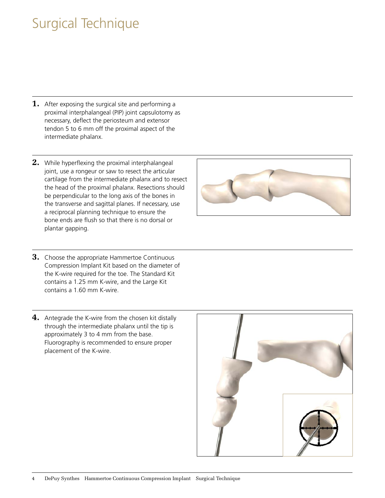### Surgical Technique

- **1.** After exposing the surgical site and performing a proximal interphalangeal (PIP) joint capsulotomy as necessary, deflect the periosteum and extensor tendon 5 to 6 mm off the proximal aspect of the intermediate phalanx.
- **2.** While hyperflexing the proximal interphalangeal joint, use a rongeur or saw to resect the articular cartilage from the intermediate phalanx and to resect the head of the proximal phalanx. Resections should be perpendicular to the long axis of the bones in the transverse and sagittal planes. If necessary, use a reciprocal planning technique to ensure the bone ends are flush so that there is no dorsal or plantar gapping.
- **3.** Choose the appropriate Hammertoe Continuous Compression Implant Kit based on the diameter of the K-wire required for the toe. The Standard Kit contains a 1.25 mm K-wire, and the Large Kit contains a 1.60 mm K-wire.
- **4.** Antegrade the K-wire from the chosen kit distally through the intermediate phalanx until the tip is approximately 3 to 4 mm from the base. Fluorography is recommended to ensure proper placement of the K-wire.



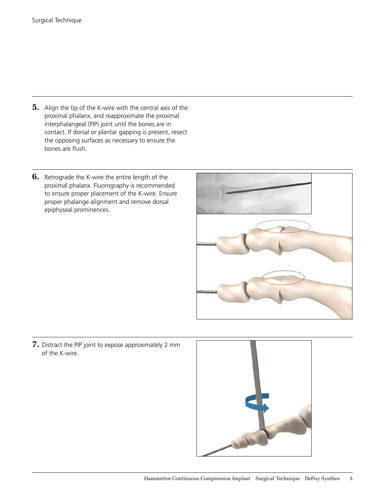- **5.** Align the tip of the K-wire with the central axis of the proximal phalanx, and reapproximate the proximal interphalangeal (PIP) joint until the bones are in contact. If dorsal or plantar gapping is present, resect the opposing surfaces as necessary to ensure the bones are flush.
- **6.** Retrograde the K-wire the entire length of the proximal phalanx. Fluorography is recommended to ensure proper placement of the K-wire. Ensure proper phalange alignment and remove dorsal epiphyseal prominences.



**7.** Distract the PIP joint to expose approximately 2 mm of the K-wire.

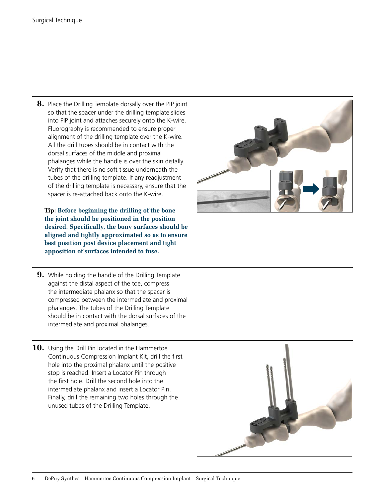**8.** Place the Drilling Template dorsally over the PIP joint so that the spacer under the drilling template slides into PIP joint and attaches securely onto the K-wire. Fluorography is recommended to ensure proper alignment of the drilling template over the K-wire. All the drill tubes should be in contact with the dorsal surfaces of the middle and proximal phalanges while the handle is over the skin distally. Verify that there is no soft tissue underneath the tubes of the drilling template. If any readjustment of the drilling template is necessary, ensure that the spacer is re-attached back onto the K-wire.

**•••Tip: Before beginning the drilling of the bone the joint should be positioned in the position desired. Specifically, the bony surfaces should be aligned and tightly approximated so as to ensure best position post device placement and tight apposition of surfaces intended to fuse.**

- **9.** While holding the handle of the Drilling Template against the distal aspect of the toe, compress the intermediate phalanx so that the spacer is compressed between the intermediate and proximal phalanges. The tubes of the Drilling Template should be in contact with the dorsal surfaces of the intermediate and proximal phalanges.
- **10.** Using the Drill Pin located in the Hammertoe Continuous Compression Implant Kit, drill the first hole into the proximal phalanx until the positive stop is reached. Insert a Locator Pin through the first hole. Drill the second hole into the intermediate phalanx and insert a Locator Pin. Finally, drill the remaining two holes through the unused tubes of the Drilling Template.



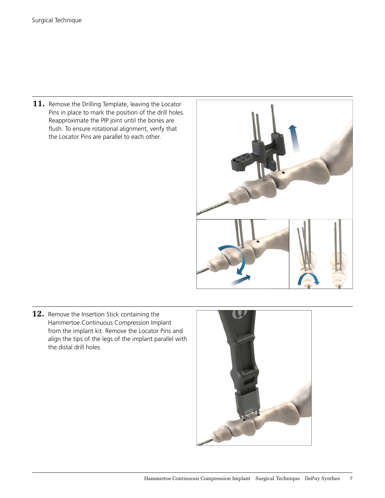**11.** Remove the Drilling Template, leaving the Locator Pins in place to mark the position of the drill holes. Reapproximate the PIP joint until the bones are flush. To ensure rotational alignment, verify that the Locator Pins are parallel to each other.



**12.** Remove the Insertion Stick containing the Hammertoe Continuous Compression Implant from the implant kit. Remove the Locator Pins and align the tips of the legs of the implant parallel with the distal drill holes.

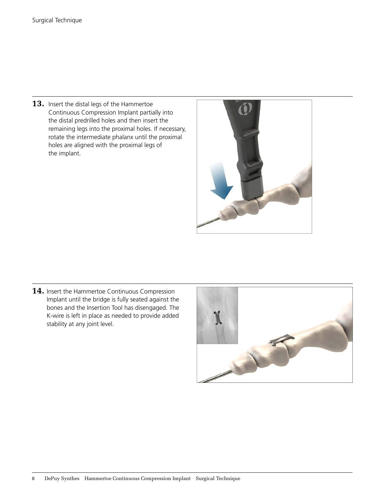**13.** Insert the distal legs of the Hammertoe Continuous Compression Implant partially into the distal predrilled holes and then insert the remaining legs into the proximal holes. If necessary, rotate the intermediate phalanx until the proximal holes are aligned with the proximal legs of the implant.



14. Insert the Hammertoe Continuous Compression Implant until the bridge is fully seated against the bones and the Insertion Tool has disengaged. The K-wire is left in place as needed to provide added stability at any joint level.

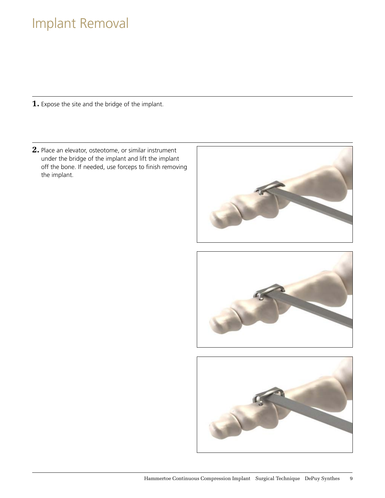### Implant Removal

**1.** Expose the site and the bridge of the implant.

**2.** Place an elevator, osteotome, or similar instrument under the bridge of the implant and lift the implant off the bone. If needed, use forceps to finish removing the implant.

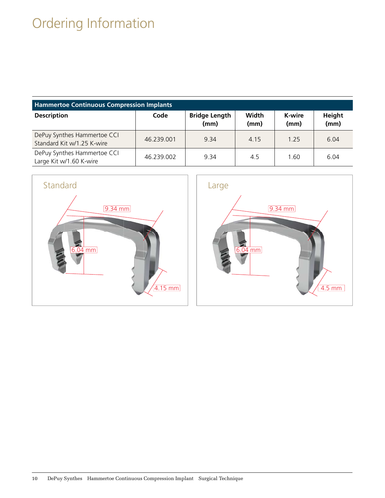# Ordering Information

| <b>Hammertoe Continuous Compression Implants</b>          |            |                              |               |                |                |
|-----------------------------------------------------------|------------|------------------------------|---------------|----------------|----------------|
| <b>Description</b>                                        | Code       | <b>Bridge Length</b><br>(mm) | Width<br>(mm) | K-wire<br>(mm) | Height<br>(mm) |
| DePuy Synthes Hammertoe CCI<br>Standard Kit w/1.25 K-wire | 46.239.001 | 9.34                         | 4.15          | 1.25           | 6.04           |
| DePuy Synthes Hammertoe CCI<br>Large Kit w/1.60 K-wire    | 46.239.002 | 9.34                         | 4.5           | 1.60           | 6.04           |

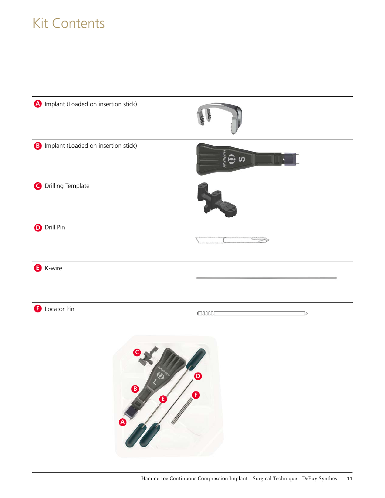# Kit Contents

| mplant (Loaded on insertion stick)               |                                                                     |
|--------------------------------------------------|---------------------------------------------------------------------|
| <b>B</b> Implant (Loaded on insertion stick)     |                                                                     |
| O Drilling Template                              |                                                                     |
| <b>D</b> Drill Pin                               |                                                                     |
| <b>B</b> K-wire                                  |                                                                     |
| Locator Pin<br>ß<br>$\bigcirc$<br>G<br>$\bullet$ | <b>CHIME</b><br>D<br>$\boldsymbol{\Theta}$<br>$\boldsymbol{\theta}$ |